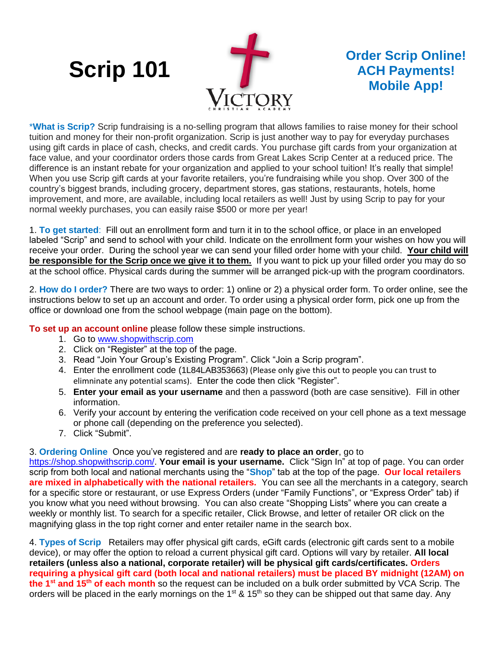## **Scrip 101**



## **Order Scrip Online! ACH Payments! Mobile App!**

\***What is Scrip?** Scrip fundraising is a no-selling program that allows families to raise money for their school tuition and money for their non-profit organization. Scrip is just another way to pay for everyday purchases using gift cards in place of cash, checks, and credit cards. You purchase gift cards from your organization at face value, and your coordinator orders those cards from Great Lakes Scrip Center at a reduced price. The difference is an instant rebate for your organization and applied to your school tuition! It's really that simple! When you use Scrip gift cards at your favorite retailers, you're fundraising while you shop. Over 300 of the country's biggest brands, including grocery, department stores, gas stations, restaurants, hotels, home improvement, and more, are available, including local retailers as well! Just by using Scrip to pay for your normal weekly purchases, you can easily raise \$500 or more per year!

1. **To get started**: Fill out an enrollment form and turn it in to the school office, or place in an enveloped labeled "Scrip" and send to school with your child. Indicate on the enrollment form your wishes on how you will receive your order. During the school year we can send your filled order home with your child. **Your child will be responsible for the Scrip once we give it to them.** If you want to pick up your filled order you may do so at the school office. Physical cards during the summer will be arranged pick-up with the program coordinators.

2. **How do I order?** There are two ways to order: 1) online or 2) a physical order form. To order online, see the instructions below to set up an account and order. To order using a physical order form, pick one up from the office or download one from the school webpage (main page on the bottom).

**To set up an account online** please follow these simple instructions.

- 1. Go to [www.shopwithscrip.com](http://www.shopwithscrip.com/)
- 2. Click on "Register" at the top of the page.
- 3. Read "Join Your Group's Existing Program". Click "Join a Scrip program".
- 4. Enter the enrollment code (1L84LAB353663) (Please only give this out to people you can trust to elimninate any potential scams). Enter the code then click "Register".
- 5. **Enter your email as your username** and then a password (both are case sensitive). Fill in other information.
- 6. Verify your account by entering the verification code received on your cell phone as a text message or phone call (depending on the preference you selected).
- 7. Click "Submit".

3. **Ordering Online** Once you've registered and are **ready to place an order**, go to

[https://shop.shopwithscrip.com/.](https://shop.shopwithscrip.com/) **Your email is your username.** Click "Sign In" at top of page. You can order scrip from both local and national merchants using the "**Shop**" tab at the top of the page. **Our local retailers are mixed in alphabetically with the national retailers.** You can see all the merchants in a category, search for a specific store or restaurant, or use Express Orders (under "Family Functions", or "Express Order" tab) if you know what you need without browsing. You can also create "Shopping Lists" where you can create a weekly or monthly list. To search for a specific retailer, Click Browse, and letter of retailer OR click on the magnifying glass in the top right corner and enter retailer name in the search box.

4. **Types of Scrip** Retailers may offer physical gift cards, eGift cards (electronic gift cards sent to a mobile device), or may offer the option to reload a current physical gift card. Options will vary by retailer. **All local retailers (unless also a national, corporate retailer) will be physical gift cards/certificates. Orders requiring a physical gift card (both local and national retailers) must be placed BY midnight (12AM) on the 1st and 15th of each month** so the request can be included on a bulk order submitted by VCA Scrip. The orders will be placed in the early mornings on the 1<sup>st</sup> & 15<sup>th</sup> so they can be shipped out that same day. Any